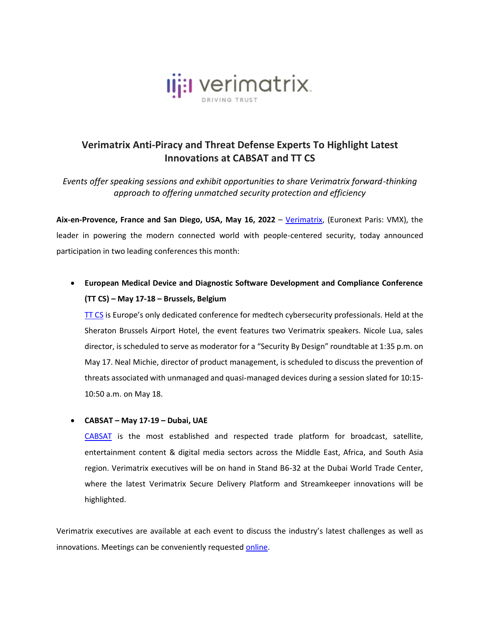

## **Verimatrix Anti-Piracy and Threat Defense Experts To Highlight Latest Innovations at CABSAT and TT CS**

*Events offer speaking sessions and exhibit opportunities to share Verimatrix forward-thinking approach to offering unmatched security protection and efficiency*

Aix-en-Provence, France and San Diego, USA, May 16, 2022 - [Verimatrix,](http://www.verimatrix.com/) (Euronext Paris: VMX), the leader in powering the modern connected world with people-centered security, today announced participation in two leading conferences this month:

## • **European Medical Device and Diagnostic Software Development and Compliance Conference (TT CS) – May 17-18 – Brussels, Belgium**

[TT CS](https://www.medtechcybersecurity.com/index.php) is Europe's only dedicated conference for medtech cybersecurity professionals. Held at the Sheraton Brussels Airport Hotel, the event features two Verimatrix speakers. Nicole Lua, sales director, is scheduled to serve as moderator for a "Security By Design" roundtable at 1:35 p.m. on May 17. Neal Michie, director of product management, is scheduled to discuss the prevention of threats associated with unmanaged and quasi-managed devices during a session slated for 10:15- 10:50 a.m. on May 18.

## • **CABSAT – May 17-19 – Dubai, UAE**

[CABSAT](https://www.cabsat.com/) is the most established and respected trade platform for broadcast, satellite, entertainment content & digital media sectors across the Middle East, Africa, and South Asia region. Verimatrix executives will be on hand in Stand B6-32 at the Dubai World Trade Center, where the latest Verimatrix Secure Delivery Platform and Streamkeeper innovations will be highlighted.

Verimatrix executives are available at each event to discuss the industry's latest challenges as well as innovations. Meetings can be conveniently requeste[d online.](https://www.verimatrix.com/webinars-events/)